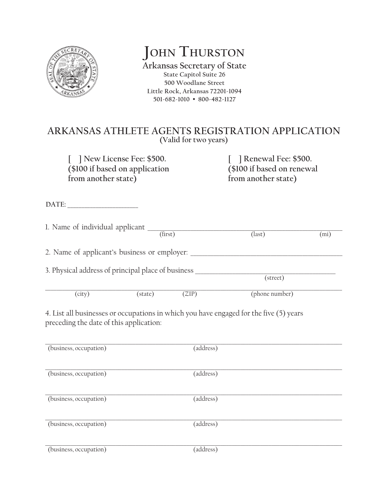

**John Thurston**

**Arkansas Secretary of State State Capitol Suite 26 500 Woodlane Street Little Rock, Arkansas 72201-1094 501-682-1010 • 800-482-1127**

## **ARKANSAS ATHLETE AGENTS REGISTRATION APPLICATION (Valid for two years)**

**[ ] New License Fee: \$500. [ ] Renewal Fee: \$500. (\$100 if based on application (\$100 if based on renewal** from another state) from another state

DATE:

1. Name of individual applicant \_\_\_\_\_\_\_\_\_\_\_\_\_\_\_\_\_\_\_\_\_\_\_\_\_\_\_\_\_\_\_\_\_\_\_\_\_\_\_\_\_\_\_\_\_\_\_\_\_\_\_\_\_\_\_\_\_\_\_\_\_\_\_\_\_\_\_\_  $(first)$   $(last)$   $(mi)$ 

2. Name of applicant's business or employer:

3. Physical address of principal place of business \_\_\_\_\_\_\_\_\_\_\_\_\_\_\_\_\_\_\_\_\_\_\_\_\_\_\_\_\_\_\_\_\_\_\_\_\_\_\_\_\_\_\_\_\_\_\_\_\_

 (street)

 $\_$  ,  $\_$  ,  $\_$  ,  $\_$  ,  $\_$  ,  $\_$  ,  $\_$  ,  $\_$  ,  $\_$  ,  $\_$  ,  $\_$  ,  $\_$  ,  $\_$  ,  $\_$  ,  $\_$  ,  $\_$  ,  $\_$  ,  $\_$  ,  $\_$  ,  $\_$  ,  $\_$  ,  $\_$  ,  $\_$  ,  $\_$  ,  $\_$  ,  $\_$  ,  $\_$  ,  $\_$  ,  $\_$  ,  $\_$  ,  $\_$  ,  $\_$  ,  $\_$  ,  $\_$  ,  $\_$  ,  $\_$  ,  $\_$  , (city) (state) (ZIP) (phone number)

4. List all businesses or occupations in which you have engaged for the five (5) years preceding the date of this application:

| (business, occupation) | (address) |
|------------------------|-----------|
| (business, occupation) | (address) |
| (business, occupation) | (address) |
| (business, occupation) | (address) |
| (business, occupation) | (address) |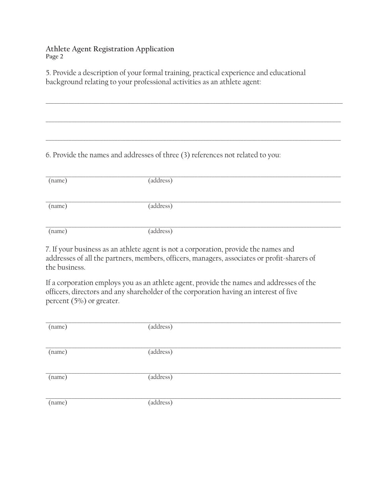**Athlete Agent Registration Application Page 2**

5. Provide a description of your formal training, practical experience and educational background relating to your professional activities as an athlete agent:

6. Provide the names and addresses of three (3) references not related to you:

| (name) | (address) |
|--------|-----------|
|        |           |
|        |           |
|        |           |
| (name) | (address) |
|        |           |
|        |           |
|        |           |
| (name) | (address) |
|        |           |

 $\_$  ,  $\_$  ,  $\_$  ,  $\_$  ,  $\_$  ,  $\_$  ,  $\_$  ,  $\_$  ,  $\_$  ,  $\_$  ,  $\_$  ,  $\_$  ,  $\_$  ,  $\_$  ,  $\_$  ,  $\_$  ,  $\_$  ,  $\_$  ,  $\_$  ,  $\_$  ,  $\_$  ,  $\_$  ,  $\_$  ,  $\_$  ,  $\_$  ,  $\_$  ,  $\_$  ,  $\_$  ,  $\_$  ,  $\_$  ,  $\_$  ,  $\_$  ,  $\_$  ,  $\_$  ,  $\_$  ,  $\_$  ,  $\_$  ,

 $\_$  , and the set of the set of the set of the set of the set of the set of the set of the set of the set of the set of the set of the set of the set of the set of the set of the set of the set of the set of the set of th

\_\_\_\_\_\_\_\_\_\_\_\_\_\_\_\_\_\_\_\_\_\_\_\_\_\_\_\_\_\_\_\_\_\_\_\_\_\_\_\_\_\_\_\_\_\_\_\_\_\_\_\_\_\_\_\_\_\_\_\_\_\_\_\_\_\_\_\_\_\_\_\_\_\_\_\_\_\_\_\_\_\_\_\_\_\_\_\_\_\_\_\_\_\_\_\_\_\_\_\_\_\_\_

7. If your business as an athlete agent is not a corporation, provide the names and addresses of all the partners, members, officers, managers, associates or profit-sharers of the business.

If a corporation employs you as an athlete agent, provide the names and addresses of the officers, directors and any shareholder of the corporation having an interest of five percent (5%) or greater.

| (name) | (address) |
|--------|-----------|
|        |           |
|        |           |
| (name) | (address) |
|        |           |
| (name) | (address) |
|        |           |
|        |           |
| (name) | (address) |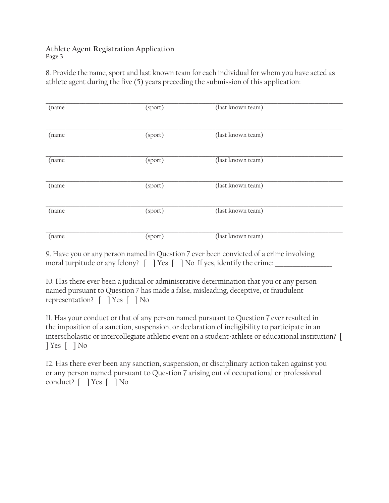## **Athlete Agent Registration Application Page 3**

8. Provide the name, sport and last known team for each individual for whom you have acted as athlete agent during the five (5) years preceding the submission of this application:

| (name | (sport) | (last known team) |
|-------|---------|-------------------|
| (name | (sport) | (last known team) |
| (name | (sport) | (last known team) |
| (name | (sport) | (last known team) |
| (name | (sport) | (last known team) |
| (name | (sport) | (last known team) |

9. Have you or any person named in Question 7 ever been convicted of a crime involving moral turpitude or any felony?  $\lceil \ \ \rceil$  Yes  $\lceil \ \ \rceil$  No If yes, identify the crime:

10. Has there ever been a judicial or administrative determination that you or any person named pursuant to Question 7 has made a false, misleading, deceptive, or fraudulent representation? [ ] Yes [ ] No

11. Has your conduct or that of any person named pursuant to Question 7 ever resulted in the imposition of a sanction, suspension, or declaration of ineligibility to participate in an interscholastic or intercollegiate athletic event on a student-athlete or educational institution? [ ] Yes [ ] No

12. Has there ever been any sanction, suspension, or disciplinary action taken against you or any person named pursuant to Question 7 arising out of occupational or professional conduct? [ ] Yes [ ] No